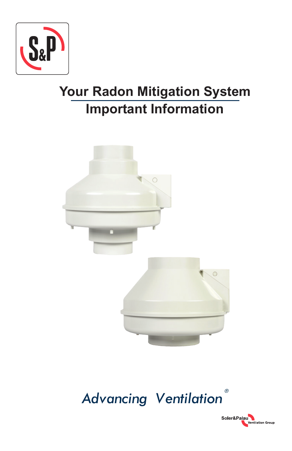

# **Your Radon Mitigation System Important Information**





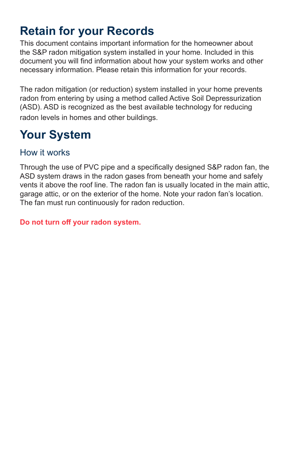## **Retain for your Records**

This document contains important information for the homeowner about the S&P radon mitigation system installed in your home. Included in this document you will find information about how your system works and other necessary information. Please retain this information for your records.

The radon mitigation (or reduction) system installed in your home prevents radon from entering by using a method called Active Soil Depressurization (ASD). ASD is recognized as the best available technology for reducing radon levels in homes and other buildings.

## **Your System**

## How it works

Through the use of PVC pipe and a specifically designed S&P radon fan, the ASD system draws in the radon gases from beneath your home and safely vents it above the roof line. The radon fan is usually located in the main attic, garage attic, or on the exterior of the home. Note your radon fan's location. The fan must run continuously for radon reduction.

**Do not turn off your radon system.**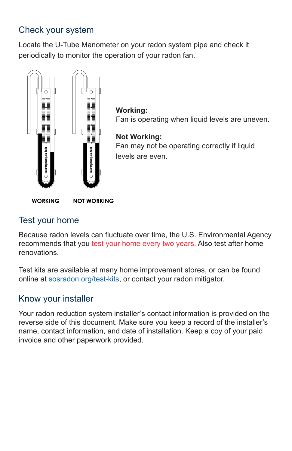## Check your system

Locate the U-Tube Manometer on your radon system pipe and check it periodically to monitor the operation of your radon fan.



**Working:** Fan is operating when liquid levels are uneven. **Not Working:** Fan may not be operating correctly if liquid

levels are even.

**WORKING NOT WORKING** 

### Test your home

Because radon levels can fluctuate over time, the U.S. Environmental Agency recommends that you test your home every two years. Also test after home renovations.

Test kits are available at many home improvement stores, or can be found online at sosradon.org/test-kits, or contact your radon mitigator.

### Know your installer

Your radon reduction system installer's contact information is provided on the reverse side of this document. Make sure you keep a record of the installer's name, contact information, and date of installation. Keep a coy of your paid invoice and other paperwork provided.